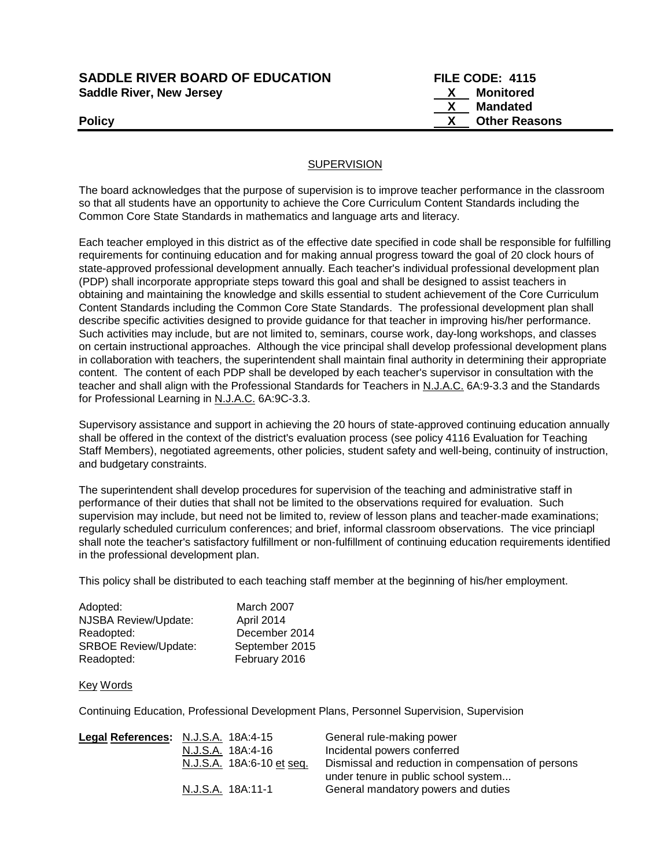| <b>SADDLE RIVER BOARD OF EDUCATION</b> |  |  |
|----------------------------------------|--|--|
| <b>Saddle River, New Jersey</b>        |  |  |

**FILE CODE: 4115 X** Monitored  **X Mandated Policy CONSERVING CONSERVANCE CONSERVANCE CONSERVANCE CONSERVANCE CONSERVANCE CONSERVANCE CONSERVANCE CONSERVANCE CONSERVANCE CONSERVANCE CONSERVANCE CONSERVANCE CONSERVANCE CONSERVANCE CONSERVANCE CONSERVANCE CONSERVAN** 

## **SUPERVISION**

The board acknowledges that the purpose of supervision is to improve teacher performance in the classroom so that all students have an opportunity to achieve the Core Curriculum Content Standards including the Common Core State Standards in mathematics and language arts and literacy.

Each teacher employed in this district as of the effective date specified in code shall be responsible for fulfilling requirements for continuing education and for making annual progress toward the goal of 20 clock hours of state-approved professional development annually. Each teacher's individual professional development plan (PDP) shall incorporate appropriate steps toward this goal and shall be designed to assist teachers in obtaining and maintaining the knowledge and skills essential to student achievement of the Core Curriculum Content Standards including the Common Core State Standards. The professional development plan shall describe specific activities designed to provide guidance for that teacher in improving his/her performance. Such activities may include, but are not limited to, seminars, course work, day-long workshops, and classes on certain instructional approaches. Although the vice principal shall develop professional development plans in collaboration with teachers, the superintendent shall maintain final authority in determining their appropriate content. The content of each PDP shall be developed by each teacher's supervisor in consultation with the teacher and shall align with the Professional Standards for Teachers in N.J.A.C. 6A:9-3.3 and the Standards for Professional Learning in N.J.A.C. 6A:9C-3.3.

Supervisory assistance and support in achieving the 20 hours of state-approved continuing education annually shall be offered in the context of the district's evaluation process (see policy 4116 Evaluation for Teaching Staff Members), negotiated agreements, other policies, student safety and well-being, continuity of instruction, and budgetary constraints.

The superintendent shall develop procedures for supervision of the teaching and administrative staff in performance of their duties that shall not be limited to the observations required for evaluation. Such supervision may include, but need not be limited to, review of lesson plans and teacher-made examinations; regularly scheduled curriculum conferences; and brief, informal classroom observations. The vice princiapl shall note the teacher's satisfactory fulfillment or non-fulfillment of continuing education requirements identified in the professional development plan.

This policy shall be distributed to each teaching staff member at the beginning of his/her employment.

| Adopted:                    | March 2007     |
|-----------------------------|----------------|
| NJSBA Review/Update:        | April 2014     |
| Readopted:                  | December 2014  |
| <b>SRBOE Review/Update:</b> | September 2015 |
| Readopted:                  | February 2016  |

## Key Words

Continuing Education, Professional Development Plans, Personnel Supervision, Supervision

| Legal References: N.J.S.A. 18A:4-15 |                           | General rule-making power                          |
|-------------------------------------|---------------------------|----------------------------------------------------|
|                                     | N.J.S.A. 18A:4-16         | Incidental powers conferred                        |
|                                     | N.J.S.A. 18A:6-10 et seq. | Dismissal and reduction in compensation of persons |
|                                     |                           | under tenure in public school system               |
|                                     | N.J.S.A. 18A:11-1         | General mandatory powers and duties                |